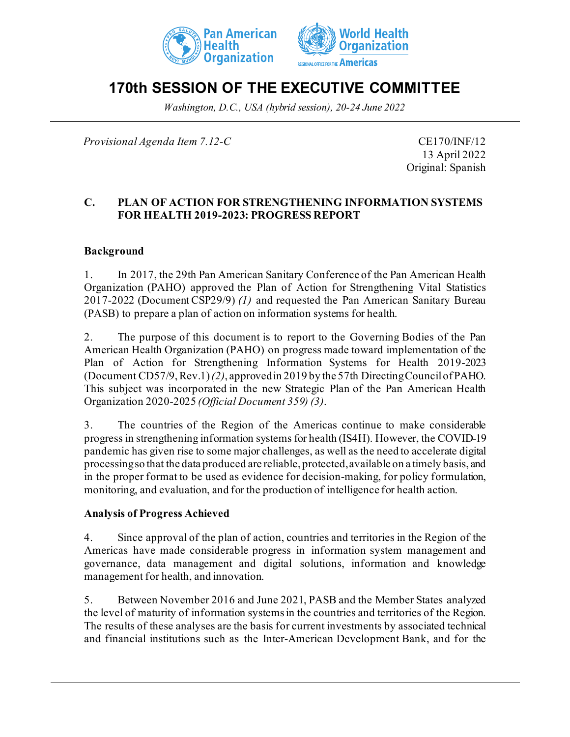



# **170th SESSION OF THE EXECUTIVE COMMITTEE**

*Washington, D.C., USA (hybrid session), 20-24 June 2022*

*Provisional Agenda Item 7.12-C* CE170/INF/12

13 April 2022 Original: Spanish

### **C. PLAN OF ACTION FOR STRENGTHENING INFORMATION SYSTEMS FOR HEALTH 2019-2023: PROGRESS REPORT**

### **Background**

1. In 2017, the 29th Pan American Sanitary Conference of the Pan American Health Organization (PAHO) approved the Plan of Action for Strengthening Vital Statistics 2017-2022 (Document CSP29/9) *(1)* and requested the Pan American Sanitary Bureau (PASB) to prepare a plan of action on information systems for health.

2. The purpose of this document is to report to the Governing Bodies of the Pan American Health Organization (PAHO) on progress made toward implementation of the Plan of Action for Strengthening Information Systems for Health 2019-2023 (Document CD57/9, Rev.1) *(2)*, approved in 2019 by the 57th Directing Council of PAHO. This subject was incorporated in the new Strategic Plan of the Pan American Health Organization 2020-2025 *(Official Document 359) (3)*.

3. The countries of the Region of the Americas continue to make considerable progress in strengthening information systems for health (IS4H). However, the COVID-19 pandemic has given rise to some major challenges, as well as the need to accelerate digital processingso that the data produced are reliable, protected, available on a timely basis, and in the proper format to be used as evidence for decision-making, for policy formulation, monitoring, and evaluation, and for the production of intelligence for health action.

#### **Analysis of Progress Achieved**

4. Since approval of the plan of action, countries and territories in the Region of the Americas have made considerable progress in information system management and governance, data management and digital solutions, information and knowledge management for health, and innovation.

5. Between November 2016 and June 2021, PASB and the Member States analyzed the level of maturity of information systems in the countries and territories of the Region. The results of these analyses are the basis for current investments by associated technical and financial institutions such as the Inter-American Development Bank, and for the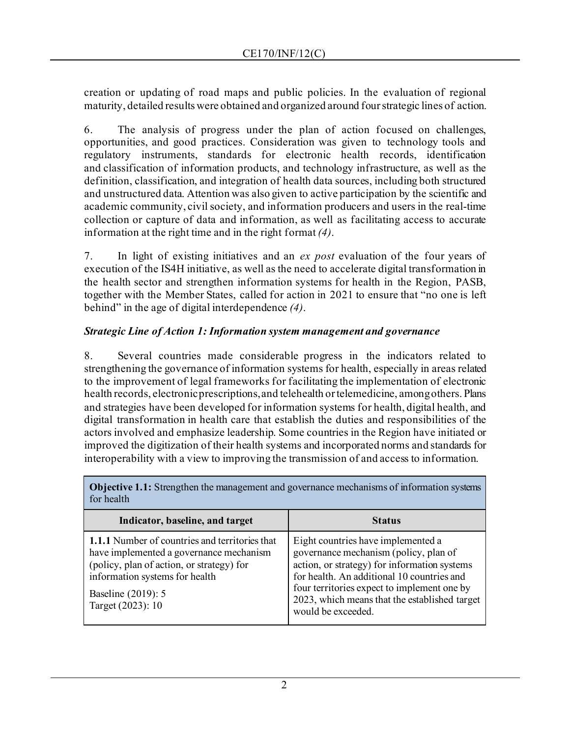creation or updating of road maps and public policies. In the evaluation of regional maturity, detailed results were obtained and organized around fourstrategic lines of action.

6. The analysis of progress under the plan of action focused on challenges, opportunities, and good practices. Consideration was given to technology tools and regulatory instruments, standards for electronic health records, identification and classification of information products, and technology infrastructure, as well as the definition, classification, and integration of health data sources, including both structured and unstructured data. Attention was also given to active participation by the scientific and academic community, civil society, and information producers and users in the real-time collection or capture of data and information, as well as facilitating access to accurate information at the right time and in the right format *(4)*.

7. In light of existing initiatives and an *ex post* evaluation of the four years of execution of the IS4H initiative, as well as the need to accelerate digital transformation in the health sector and strengthen information systems for health in the Region, PASB, together with the Member States, called for action in 2021 to ensure that "no one is left behind" in the age of digital interdependence *(4)*.

# *Strategic Line of Action 1: Information system management and governance*

8. Several countries made considerable progress in the indicators related to strengthening the governance of information systems for health, especially in areas related to the improvement of legal frameworks for facilitating the implementation of electronic health records, electronic prescriptions, and telehealth or telemedicine, among others. Plans and strategies have been developed for information systems for health, digital health, and digital transformation in health care that establish the duties and responsibilities of the actors involved and emphasize leadership. Some countries in the Region have initiated or improved the digitization of their health systems and incorporated norms and standards for interoperability with a view to improving the transmission of and access to information.

| TVI HUGHLII                                                                                                                                                                                                                |                                                                                                                                                                                                                                                                                                 |
|----------------------------------------------------------------------------------------------------------------------------------------------------------------------------------------------------------------------------|-------------------------------------------------------------------------------------------------------------------------------------------------------------------------------------------------------------------------------------------------------------------------------------------------|
| Indicator, baseline, and target                                                                                                                                                                                            | <b>Status</b>                                                                                                                                                                                                                                                                                   |
| <b>1.1.1</b> Number of countries and territories that<br>have implemented a governance mechanism<br>(policy, plan of action, or strategy) for<br>information systems for health<br>Baseline (2019): 5<br>Target (2023): 10 | Eight countries have implemented a<br>governance mechanism (policy, plan of<br>action, or strategy) for information systems<br>for health. An additional 10 countries and<br>four territories expect to implement one by<br>2023, which means that the established target<br>would be exceeded. |

**Objective 1.1:** Strengthen the management and governance mechanisms of information systems for health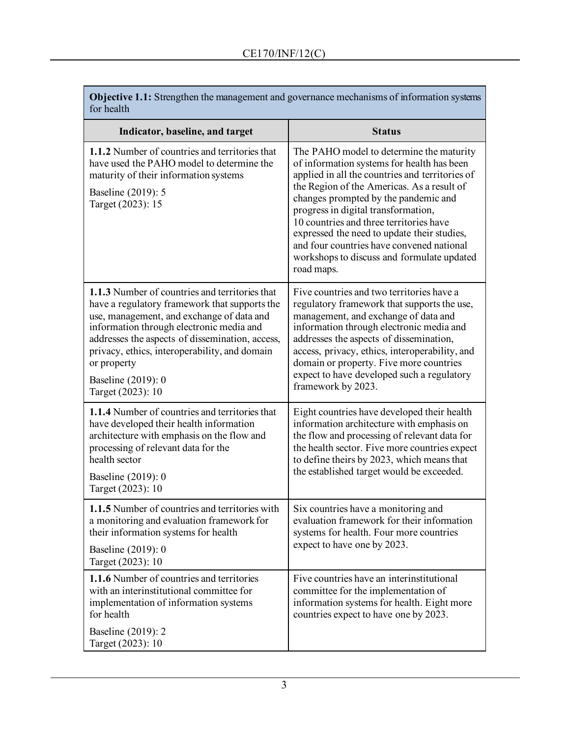| <b>Objective 1.1:</b> Strengthen the management and governance mechanisms of information systems<br>for health                                                                                                                                                                                                                                         |                                                                                                                                                                                                                                                                                                                                                                                                                                                                           |
|--------------------------------------------------------------------------------------------------------------------------------------------------------------------------------------------------------------------------------------------------------------------------------------------------------------------------------------------------------|---------------------------------------------------------------------------------------------------------------------------------------------------------------------------------------------------------------------------------------------------------------------------------------------------------------------------------------------------------------------------------------------------------------------------------------------------------------------------|
| Indicator, baseline, and target                                                                                                                                                                                                                                                                                                                        | <b>Status</b>                                                                                                                                                                                                                                                                                                                                                                                                                                                             |
| <b>1.1.2</b> Number of countries and territories that<br>have used the PAHO model to determine the<br>maturity of their information systems<br>Baseline (2019): 5<br>Target (2023): 15                                                                                                                                                                 | The PAHO model to determine the maturity<br>of information systems for health has been<br>applied in all the countries and territories of<br>the Region of the Americas. As a result of<br>changes prompted by the pandemic and<br>progress in digital transformation,<br>10 countries and three territories have<br>expressed the need to update their studies,<br>and four countries have convened national<br>workshops to discuss and formulate updated<br>road maps. |
| 1.1.3 Number of countries and territories that<br>have a regulatory framework that supports the<br>use, management, and exchange of data and<br>information through electronic media and<br>addresses the aspects of dissemination, access,<br>privacy, ethics, interoperability, and domain<br>or property<br>Baseline (2019): 0<br>Target (2023): 10 | Five countries and two territories have a<br>regulatory framework that supports the use,<br>management, and exchange of data and<br>information through electronic media and<br>addresses the aspects of dissemination,<br>access, privacy, ethics, interoperability, and<br>domain or property. Five more countries<br>expect to have developed such a regulatory<br>framework by 2023.                                                                                  |
| <b>1.1.4</b> Number of countries and territories that<br>have developed their health information<br>architecture with emphasis on the flow and<br>processing of relevant data for the<br>health sector<br>Baseline (2019): 0<br>Target (2023): 10                                                                                                      | Eight countries have developed their health<br>information architecture with emphasis on<br>the flow and processing of relevant data for<br>the health sector. Five more countries expect<br>to define theirs by 2023, which means that<br>the established target would be exceeded.                                                                                                                                                                                      |
| 1.1.5 Number of countries and territories with<br>a monitoring and evaluation framework for<br>their information systems for health<br>Baseline (2019): 0<br>Target (2023): 10                                                                                                                                                                         | Six countries have a monitoring and<br>evaluation framework for their information<br>systems for health. Four more countries<br>expect to have one by 2023.                                                                                                                                                                                                                                                                                                               |
| 1.1.6 Number of countries and territories<br>with an interinstitutional committee for<br>implementation of information systems<br>for health<br>Baseline (2019): 2<br>Target (2023): 10                                                                                                                                                                | Five countries have an interinstitutional<br>committee for the implementation of<br>information systems for health. Eight more<br>countries expect to have one by 2023.                                                                                                                                                                                                                                                                                                   |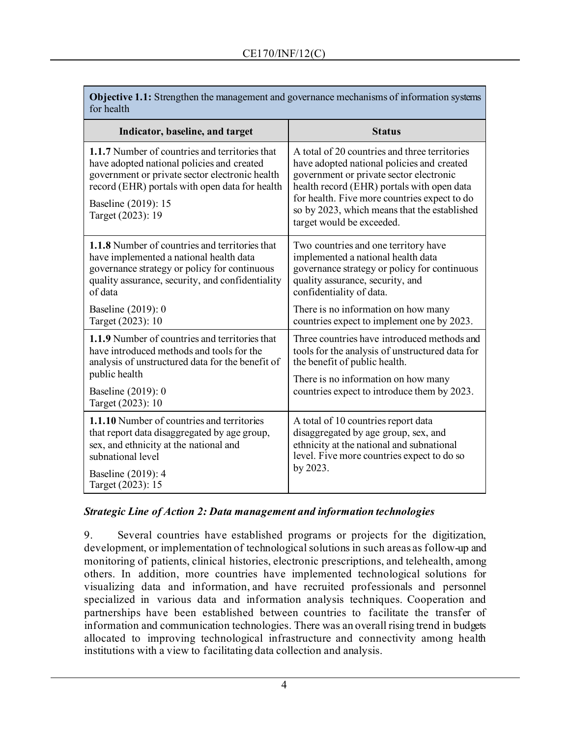| <b>Objective 1.1:</b> Strengthen the management and governance mechanisms of information systems |
|--------------------------------------------------------------------------------------------------|
| for health                                                                                       |

| Indicator, baseline, and target                                                                                                                                                                                                                     | <b>Status</b>                                                                                                                                                                                                                                                                                                     |
|-----------------------------------------------------------------------------------------------------------------------------------------------------------------------------------------------------------------------------------------------------|-------------------------------------------------------------------------------------------------------------------------------------------------------------------------------------------------------------------------------------------------------------------------------------------------------------------|
| <b>1.1.7</b> Number of countries and territories that<br>have adopted national policies and created<br>government or private sector electronic health<br>record (EHR) portals with open data for health<br>Baseline (2019): 15<br>Target (2023): 19 | A total of 20 countries and three territories<br>have adopted national policies and created<br>government or private sector electronic<br>health record (EHR) portals with open data<br>for health. Five more countries expect to do<br>so by 2023, which means that the established<br>target would be exceeded. |
| <b>1.1.8</b> Number of countries and territories that<br>have implemented a national health data<br>governance strategy or policy for continuous<br>quality assurance, security, and confidentiality<br>of data                                     | Two countries and one territory have<br>implemented a national health data<br>governance strategy or policy for continuous<br>quality assurance, security, and<br>confidentiality of data.                                                                                                                        |
| Baseline (2019): 0<br>Target (2023): 10                                                                                                                                                                                                             | There is no information on how many<br>countries expect to implement one by 2023.                                                                                                                                                                                                                                 |
| 1.1.9 Number of countries and territories that<br>have introduced methods and tools for the<br>analysis of unstructured data for the benefit of<br>public health<br>Baseline (2019): 0<br>Target (2023): 10                                         | Three countries have introduced methods and<br>tools for the analysis of unstructured data for<br>the benefit of public health.<br>There is no information on how many<br>countries expect to introduce them by 2023.                                                                                             |
| 1.1.10 Number of countries and territories<br>that report data disaggregated by age group,<br>sex, and ethnicity at the national and<br>subnational level<br>Baseline (2019): 4<br>Target (2023): 15                                                | A total of 10 countries report data<br>disaggregated by age group, sex, and<br>ethnicity at the national and subnational<br>level. Five more countries expect to do so<br>by 2023.                                                                                                                                |

# *Strategic Line of Action 2: Data management and information technologies*

9. Several countries have established programs or projects for the digitization, development, or implementation of technological solutions in such areas as follow-up and monitoring of patients, clinical histories, electronic prescriptions, and telehealth, among others. In addition, more countries have implemented technological solutions for visualizing data and information, and have recruited professionals and personnel specialized in various data and information analysis techniques. Cooperation and partnerships have been established between countries to facilitate the transfer of information and communication technologies. There was an overall rising trend in budgets allocated to improving technological infrastructure and connectivity among health institutions with a view to facilitating data collection and analysis.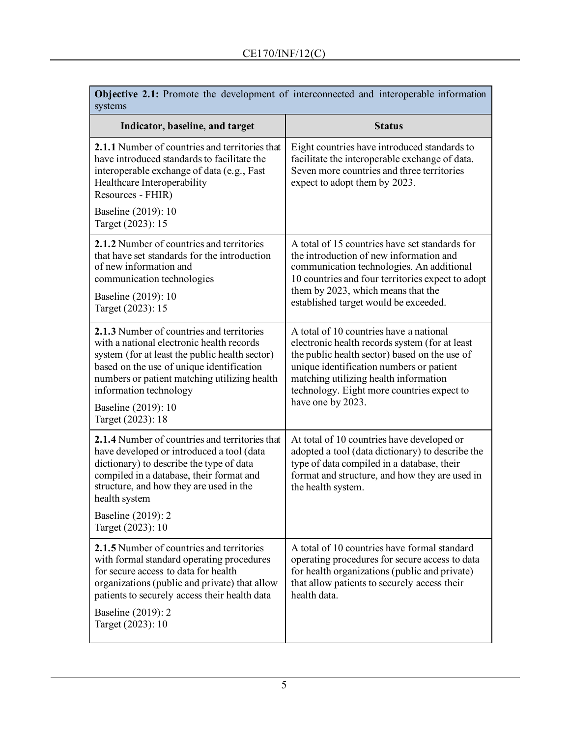| <b>Objective 2.1:</b> Promote the development of interconnected and interoperable information<br>systems                                                                                                                                                                                                    |                                                                                                                                                                                                                                                                                                    |
|-------------------------------------------------------------------------------------------------------------------------------------------------------------------------------------------------------------------------------------------------------------------------------------------------------------|----------------------------------------------------------------------------------------------------------------------------------------------------------------------------------------------------------------------------------------------------------------------------------------------------|
| Indicator, baseline, and target                                                                                                                                                                                                                                                                             | <b>Status</b>                                                                                                                                                                                                                                                                                      |
| 2.1.1 Number of countries and territories that<br>have introduced standards to facilitate the<br>interoperable exchange of data (e.g., Fast<br>Healthcare Interoperability<br>Resources - FHIR)                                                                                                             | Eight countries have introduced standards to<br>facilitate the interoperable exchange of data.<br>Seven more countries and three territories<br>expect to adopt them by 2023.                                                                                                                      |
| Baseline (2019): 10<br>Target (2023): 15                                                                                                                                                                                                                                                                    |                                                                                                                                                                                                                                                                                                    |
| 2.1.2 Number of countries and territories<br>that have set standards for the introduction<br>of new information and<br>communication technologies                                                                                                                                                           | A total of 15 countries have set standards for<br>the introduction of new information and<br>communication technologies. An additional<br>10 countries and four territories expect to adopt<br>them by 2023, which means that the                                                                  |
| Baseline (2019): 10<br>Target (2023): 15                                                                                                                                                                                                                                                                    | established target would be exceeded.                                                                                                                                                                                                                                                              |
| 2.1.3 Number of countries and territories<br>with a national electronic health records<br>system (for at least the public health sector)<br>based on the use of unique identification<br>numbers or patient matching utilizing health<br>information technology<br>Baseline (2019): 10<br>Target (2023): 18 | A total of 10 countries have a national<br>electronic health records system (for at least<br>the public health sector) based on the use of<br>unique identification numbers or patient<br>matching utilizing health information<br>technology. Eight more countries expect to<br>have one by 2023. |
| 2.1.4 Number of countries and territories that<br>have developed or introduced a tool (data<br>dictionary) to describe the type of data<br>compiled in a database, their format and<br>structure, and how they are used in the<br>health system                                                             | At total of 10 countries have developed or<br>adopted a tool (data dictionary) to describe the<br>type of data compiled in a database, their<br>format and structure, and how they are used in<br>the health system.                                                                               |
| Baseline (2019): 2<br>Target (2023): 10                                                                                                                                                                                                                                                                     |                                                                                                                                                                                                                                                                                                    |
| 2.1.5 Number of countries and territories<br>with formal standard operating procedures<br>for secure access to data for health<br>organizations (public and private) that allow<br>patients to securely access their health data<br>Baseline (2019): 2<br>Target (2023): 10                                 | A total of 10 countries have formal standard<br>operating procedures for secure access to data<br>for health organizations (public and private)<br>that allow patients to securely access their<br>health data.                                                                                    |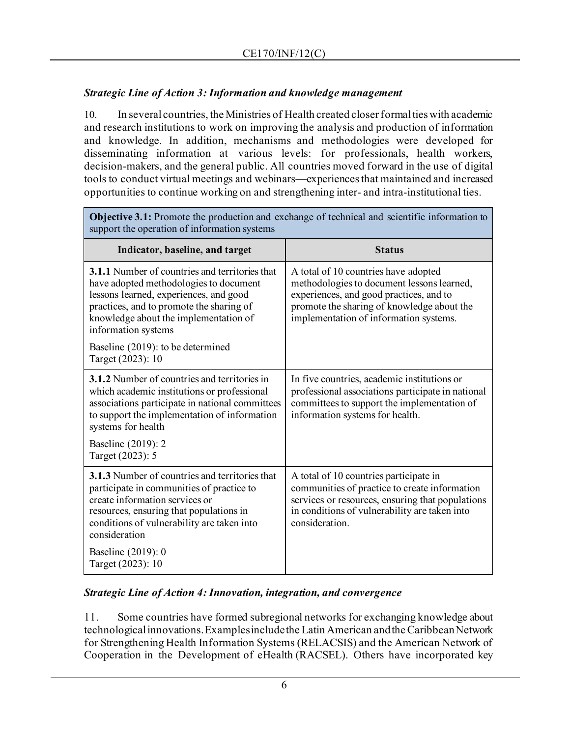# *Strategic Line of Action 3: Information and knowledge management*

10. In several countries, the Ministries of Health created closer formal ties with academic and research institutions to work on improving the analysis and production of information and knowledge. In addition, mechanisms and methodologies were developed for disseminating information at various levels: for professionals, health workers, decision-makers, and the general public. All countries moved forward in the use of digital tools to conduct virtual meetings and webinars—experiences that maintained and increased opportunities to continue working on and strengthening inter- and intra-institutional ties.

| <b>Objective 3.1:</b> Promote the production and exchange of technical and scientific information to<br>support the operation of information systems                                                                                                  |                                                                                                                                                                                                                       |
|-------------------------------------------------------------------------------------------------------------------------------------------------------------------------------------------------------------------------------------------------------|-----------------------------------------------------------------------------------------------------------------------------------------------------------------------------------------------------------------------|
| Indicator, baseline, and target                                                                                                                                                                                                                       | <b>Status</b>                                                                                                                                                                                                         |
| <b>3.1.1</b> Number of countries and territories that<br>have adopted methodologies to document<br>lessons learned, experiences, and good<br>practices, and to promote the sharing of<br>knowledge about the implementation of<br>information systems | A total of 10 countries have adopted<br>methodologies to document lessons learned,<br>experiences, and good practices, and to<br>promote the sharing of knowledge about the<br>implementation of information systems. |
| Baseline (2019): to be determined<br>Target (2023): 10                                                                                                                                                                                                |                                                                                                                                                                                                                       |
| <b>3.1.2</b> Number of countries and territories in<br>which academic institutions or professional<br>associations participate in national committees<br>to support the implementation of information<br>systems for health                           | In five countries, academic institutions or<br>professional associations participate in national<br>committees to support the implementation of<br>information systems for health.                                    |
| Baseline (2019): 2<br>Target (2023): 5                                                                                                                                                                                                                |                                                                                                                                                                                                                       |
| <b>3.1.3</b> Number of countries and territories that<br>participate in communities of practice to<br>create information services or<br>resources, ensuring that populations in<br>conditions of vulnerability are taken into<br>consideration        | A total of 10 countries participate in<br>communities of practice to create information<br>services or resources, ensuring that populations<br>in conditions of vulnerability are taken into<br>consideration.        |
| Baseline (2019): 0<br>Target (2023): 10                                                                                                                                                                                                               |                                                                                                                                                                                                                       |

# **Objective 3.1:** Promote the production and exchange of technical and scientific information to

# *Strategic Line of Action 4: Innovation, integration, and convergence*

11. Some countries have formed subregional networks for exchanging knowledge about technological innovations. Examples include the Latin American and the Caribbean Network for Strengthening Health Information Systems (RELACSIS) and the American Network of Cooperation in the Development of eHealth (RACSEL). Others have incorporated key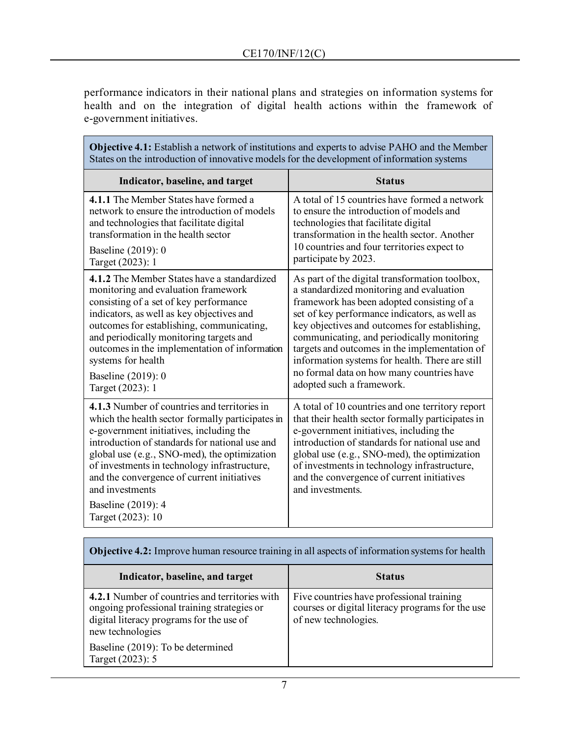performance indicators in their national plans and strategies on information systems for health and on the integration of digital health actions within the framework of e-government initiatives.

| <b>Objective 4.1:</b> Establish a network of institutions and experts to advise PAHO and the Member<br>States on the introduction of innovative models for the development of information systems                                                                                                                                                                                                         |                                                                                                                                                                                                                                                                                                                                                                                                                                                                        |  |
|-----------------------------------------------------------------------------------------------------------------------------------------------------------------------------------------------------------------------------------------------------------------------------------------------------------------------------------------------------------------------------------------------------------|------------------------------------------------------------------------------------------------------------------------------------------------------------------------------------------------------------------------------------------------------------------------------------------------------------------------------------------------------------------------------------------------------------------------------------------------------------------------|--|
| Indicator, baseline, and target                                                                                                                                                                                                                                                                                                                                                                           | <b>Status</b>                                                                                                                                                                                                                                                                                                                                                                                                                                                          |  |
| 4.1.1 The Member States have formed a<br>network to ensure the introduction of models<br>and technologies that facilitate digital<br>transformation in the health sector                                                                                                                                                                                                                                  | A total of 15 countries have formed a network<br>to ensure the introduction of models and<br>technologies that facilitate digital<br>transformation in the health sector. Another<br>10 countries and four territories expect to                                                                                                                                                                                                                                       |  |
| Baseline (2019): 0<br>Target (2023): 1                                                                                                                                                                                                                                                                                                                                                                    | participate by 2023.                                                                                                                                                                                                                                                                                                                                                                                                                                                   |  |
| <b>4.1.2</b> The Member States have a standardized<br>monitoring and evaluation framework<br>consisting of a set of key performance<br>indicators, as well as key objectives and<br>outcomes for establishing, communicating,<br>and periodically monitoring targets and<br>outcomes in the implementation of information<br>systems for health<br>Baseline (2019): 0<br>Target (2023): 1                 | As part of the digital transformation toolbox,<br>a standardized monitoring and evaluation<br>framework has been adopted consisting of a<br>set of key performance indicators, as well as<br>key objectives and outcomes for establishing,<br>communicating, and periodically monitoring<br>targets and outcomes in the implementation of<br>information systems for health. There are still<br>no formal data on how many countries have<br>adopted such a framework. |  |
| 4.1.3 Number of countries and territories in<br>which the health sector formally participates in<br>e-government initiatives, including the<br>introduction of standards for national use and<br>global use (e.g., SNO-med), the optimization<br>of investments in technology infrastructure,<br>and the convergence of current initiatives<br>and investments<br>Baseline (2019): 4<br>Target (2023): 10 | A total of 10 countries and one territory report<br>that their health sector formally participates in<br>e-government initiatives, including the<br>introduction of standards for national use and<br>global use (e.g., SNO-med), the optimization<br>of investments in technology infrastructure,<br>and the convergence of current initiatives<br>and investments.                                                                                                   |  |

| <b>Objective 4.2:</b> Improve human resource training in all aspects of information systems for health                                                        |                                                                                                                       |  |
|---------------------------------------------------------------------------------------------------------------------------------------------------------------|-----------------------------------------------------------------------------------------------------------------------|--|
| Indicator, baseline, and target                                                                                                                               | <b>Status</b>                                                                                                         |  |
| 4.2.1 Number of countries and territories with<br>ongoing professional training strategies or<br>digital literacy programs for the use of<br>new technologies | Five countries have professional training<br>courses or digital literacy programs for the use<br>of new technologies. |  |
| Baseline (2019): To be determined<br>Target (2023): 5                                                                                                         |                                                                                                                       |  |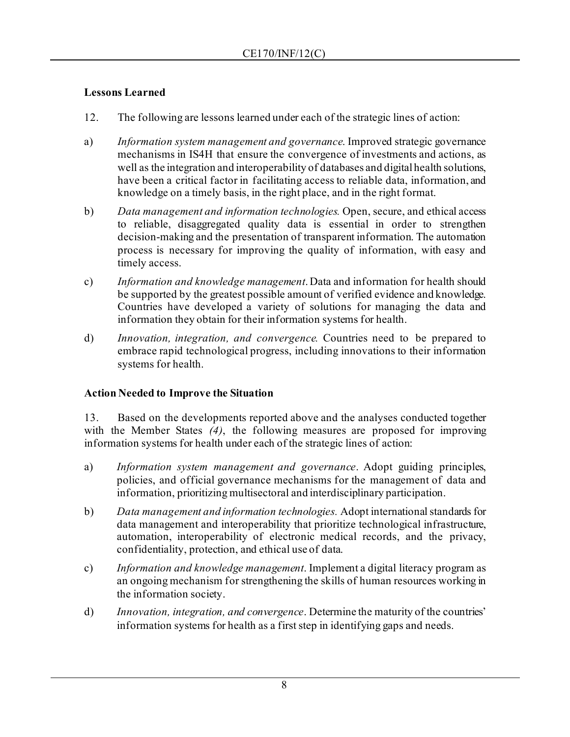# **Lessons Learned**

- 12. The following are lessons learned under each of the strategic lines of action:
- a) *Information system management and governance*. Improved strategic governance mechanisms in IS4H that ensure the convergence of investments and actions, as well as the integration and interoperability of databases and digital health solutions, have been a critical factor in facilitating access to reliable data, information, and knowledge on a timely basis, in the right place, and in the right format.
- b) *Data management and information technologies.* Open, secure, and ethical access to reliable, disaggregated quality data is essential in order to strengthen decision-making and the presentation of transparent information. The automation process is necessary for improving the quality of information, with easy and timely access.
- c) *Information and knowledge management*. Data and information for health should be supported by the greatest possible amount of verified evidence and knowledge. Countries have developed a variety of solutions for managing the data and information they obtain for their information systems for health.
- d) *Innovation, integration, and convergence.* Countries need to be prepared to embrace rapid technological progress, including innovations to their information systems for health.

# **Action Needed to Improve the Situation**

13. Based on the developments reported above and the analyses conducted together with the Member States *(4)*, the following measures are proposed for improving information systems for health under each of the strategic lines of action:

- a) *Information system management and governance*. Adopt guiding principles, policies, and official governance mechanisms for the management of data and information, prioritizing multisectoral and interdisciplinary participation.
- b) *Data management and information technologies.* Adopt international standards for data management and interoperability that prioritize technological infrastructure, automation, interoperability of electronic medical records, and the privacy, confidentiality, protection, and ethical use of data.
- c) *Information and knowledge management*. Implement a digital literacy program as an ongoing mechanism for strengthening the skills of human resources working in the information society.
- d) *Innovation, integration, and convergence*. Determine the maturity of the countries' information systems for health as a first step in identifying gaps and needs.